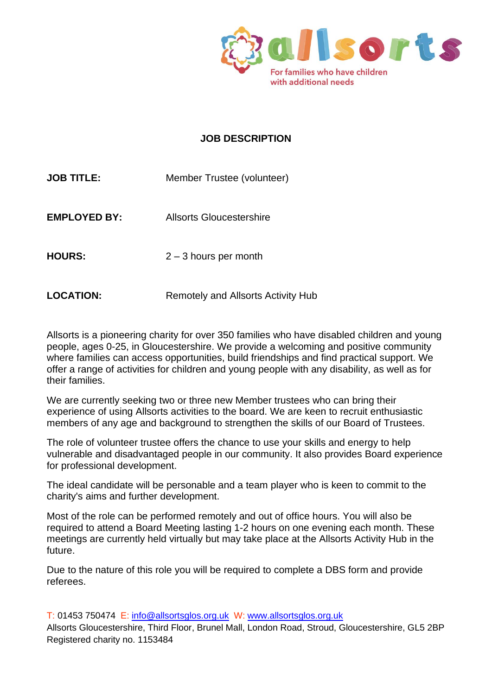

## **JOB DESCRIPTION**

| <b>JOB TITLE:</b>   | Member Trustee (volunteer) |
|---------------------|----------------------------|
| <b>EMPLOYED BY:</b> | Allsorts Gloucestershire   |
| <b>HOURS:</b>       | $2 - 3$ hours per month    |
|                     |                            |

**LOCATION:** Remotely and Allsorts Activity Hub

Allsorts is a pioneering charity for over 350 families who have disabled children and young people, ages 0-25, in Gloucestershire. We provide a welcoming and positive community where families can access opportunities, build friendships and find practical support. We offer a range of activities for children and young people with any disability, as well as for their families.

We are currently seeking two or three new Member trustees who can bring their experience of using Allsorts activities to the board. We are keen to recruit enthusiastic members of any age and background to strengthen the skills of our Board of Trustees.

The role of volunteer trustee offers the chance to use your skills and energy to help vulnerable and disadvantaged people in our community. It also provides Board experience for professional development.

The ideal candidate will be personable and a team player who is keen to commit to the charity's aims and further development.

Most of the role can be performed remotely and out of office hours. You will also be required to attend a Board Meeting lasting 1-2 hours on one evening each month. These meetings are currently held virtually but may take place at the Allsorts Activity Hub in the future.

Due to the nature of this role you will be required to complete a DBS form and provide referees.

T: 01453 750474 E: [info@allsortsglos.org.uk](mailto:info@allsortsglos.org.uk) W: [www.allsortsglos.org.uk](http://www.allsortsglos.org.uk/)

Allsorts Gloucestershire, Third Floor, Brunel Mall, London Road, Stroud, Gloucestershire, GL5 2BP Registered charity no. 1153484